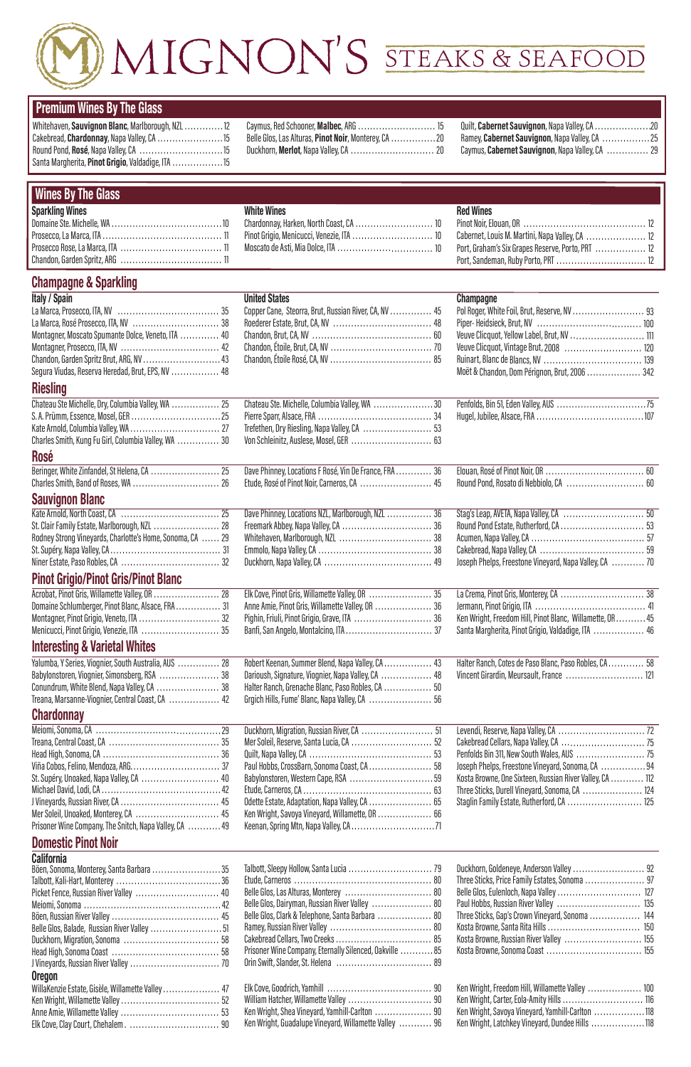**United States**

#### **Champagne & Sparkling**

| Italy / Spain                                                                                                      | <b>United States</b>                                    | <b>Champagne</b>                                          |
|--------------------------------------------------------------------------------------------------------------------|---------------------------------------------------------|-----------------------------------------------------------|
|                                                                                                                    | Copper Cane, Steorra, Brut, Russian River, CA, NV  45   |                                                           |
|                                                                                                                    |                                                         |                                                           |
| Montagner, Moscato Spumante Dolce, Veneto, ITA  40                                                                 |                                                         | Veuve Clicquot, Yellow Label, Brut, NV  111               |
|                                                                                                                    |                                                         |                                                           |
| Chandon, Garden Spritz Brut, ARG, NV  43                                                                           |                                                         |                                                           |
| Segura Viudas, Reserva Heredad, Brut, EPS, NV  48                                                                  |                                                         | Moët & Chandon, Dom Pérignon, Brut, 2006  342             |
| <b>Riesling</b>                                                                                                    |                                                         |                                                           |
| Chateau Ste Michelle, Dry, Columbia Valley, WA  25                                                                 | Chateau Ste. Michelle, Columbia Valley, WA 30           |                                                           |
|                                                                                                                    |                                                         |                                                           |
|                                                                                                                    | Trefethen, Dry Riesling, Napa Valley, CA  53            |                                                           |
| Charles Smith, Kung Fu Girl, Columbia Valley, WA  30                                                               |                                                         |                                                           |
| Rosé                                                                                                               |                                                         |                                                           |
|                                                                                                                    | Dave Phinney, Locations F Rosé, Vin De France, FRA  36  |                                                           |
|                                                                                                                    |                                                         |                                                           |
| <b>Sauvignon Blanc</b>                                                                                             |                                                         |                                                           |
|                                                                                                                    | Dave Phinney, Locations NZL, Marlborough, NZL  36       |                                                           |
| St. Clair Family Estate, Marlborough, NZL  28                                                                      |                                                         |                                                           |
| Rodney Strong Vineyards, Charlotte's Home, Sonoma, CA  29                                                          |                                                         |                                                           |
|                                                                                                                    |                                                         |                                                           |
|                                                                                                                    |                                                         | Joseph Phelps, Freestone Vineyard, Napa Valley, CA  70    |
| <b>Pinot Grigio/Pinot Gris/Pinot Blanc</b>                                                                         |                                                         |                                                           |
|                                                                                                                    |                                                         |                                                           |
| Domaine Schlumberger, Pinot Blanc, Alsace, FRA  31                                                                 | Anne Amie, Pinot Gris, Willamette Valley, OR  36        |                                                           |
|                                                                                                                    |                                                         | Ken Wright, Freedom Hill, Pinot Blanc, Willamette, OR  45 |
|                                                                                                                    |                                                         |                                                           |
| <b>Interesting &amp; Varietal Whites</b>                                                                           |                                                         |                                                           |
| Yalumba, Y Series, Viognier, South Australia, AUS  28                                                              | Robert Keenan, Summer Blend, Napa Valley, CA 43         | Halter Ranch, Cotes de Paso Blanc, Paso Robles, CA  58    |
|                                                                                                                    | Darioush, Signature, Viognier, Napa Valley, CA  48      | Vincent Girardin, Meursault, France  121                  |
| Conundrum, White Blend, Napa Valley, CA  38                                                                        | Halter Ranch, Grenache Blanc, Paso Robles, CA  50       |                                                           |
| Treana, Marsanne-Viognier, Central Coast, CA  42                                                                   | Grgich Hills, Fume' Blanc, Napa Valley, CA  56          |                                                           |
| <b>Chardonnay</b>                                                                                                  |                                                         |                                                           |
|                                                                                                                    |                                                         |                                                           |
|                                                                                                                    |                                                         |                                                           |
|                                                                                                                    |                                                         |                                                           |
|                                                                                                                    |                                                         | Joseph Phelps, Freestone Vineyard, Sonoma, CA  94         |
| St. Supéry, Unoaked, Napa Valley, CA  40                                                                           |                                                         | Kosta Browne, One Sixteen, Russian River Valley, CA  112  |
|                                                                                                                    | Babylonstoren, Western Cape, RSA  59                    | Three Sticks, Durell Vineyard, Sonoma, CA  124            |
|                                                                                                                    |                                                         |                                                           |
|                                                                                                                    | Odette Estate, Adaptation, Napa Valley, CA  65          | Staglin Family Estate, Rutherford, CA  125                |
| Prisoner Wine Company, The Snitch, Napa Valley, CA  49                                                             | Ken Wright, Savoya Vineyard, Willamette, OR  66         |                                                           |
|                                                                                                                    |                                                         |                                                           |
| <b>Domestic Pinot Noir</b>                                                                                         |                                                         |                                                           |
| <b>California</b><br>Böen, Sonoma, Monterey, Santa Barbara  35                                                     |                                                         |                                                           |
|                                                                                                                    |                                                         |                                                           |
|                                                                                                                    |                                                         |                                                           |
|                                                                                                                    |                                                         |                                                           |
|                                                                                                                    |                                                         |                                                           |
|                                                                                                                    | Belle Glos, Dairyman, Russian River Valley  80          | Paul Hobbs, Russian River Valley  135                     |
|                                                                                                                    | Belle Glos, Clark & Telephone, Santa Barbara  80        | Three Sticks, Gap's Crown Vineyard, Sonoma  144           |
|                                                                                                                    |                                                         |                                                           |
|                                                                                                                    |                                                         | Kosta Browne, Russian River Valley  155                   |
|                                                                                                                    | Prisoner Wine Company, Eternally Silenced, Oakville  85 |                                                           |
|                                                                                                                    |                                                         |                                                           |
|                                                                                                                    |                                                         |                                                           |
|                                                                                                                    |                                                         | Ken Wright, Freedom Hill, Willamette Valley  100          |
| Belle Glos, Balade, Russian River Valley  51<br><b>Oregon</b><br>WillaKenzie Estate, Gisèle, Willamette Valley  47 |                                                         | Ken Wright, Savoya Vineyard, Yamhill-Carlton  118         |

| <b>Wines By The Glass</b> |                    |                                                   |
|---------------------------|--------------------|---------------------------------------------------|
| <b>Sparkling Wines</b>    | <b>White Wines</b> | <b>Red Wines</b>                                  |
|                           |                    |                                                   |
|                           |                    | Cabernet, Louis M. Martini, Napa Valley, CA  12   |
|                           |                    | Port, Graham's Six Grapes Reserve, Porto, PRT  12 |
|                           |                    |                                                   |

| Whitehaven, Sauvignon Blanc, Marlborough, NZL  12  |  |
|----------------------------------------------------|--|
| Cakebread, Chardonnay, Napa Valley, CA  15         |  |
|                                                    |  |
| Santa Margherita, Pinot Grigio, Valdadige, ITA  15 |  |

Caymus, Red Schooner, **Malbec**, ARG . . . . . . . . . . . . . . . . . . . . . . . . . . 15 Belle Glos, Las Alturas, **Pinot Noir**, Monterey, CA . . . . . . . . . . . . . . . 20 Duckhorn, **Merlot**, Napa Valley, CA . . . . . . . . . . . . . . . . . . . . . . . . . . . . 20 Quilt, **Cabernet Sauvignon**, Napa Valley, CA . . . . . . . . . . . . . . . . . . .20 Ramey, **Cabernet Sauvignon**, Napa Valley, CA . . . . . . . . . . . . . . . . 25 Caymus, **Cabernet Sauvignon**, Napa Valley, CA . . . . . . . . . . . . . . 29

# MIGNON'S STEAKS & SEAFOOD

# **Premium Wines By The Glass**